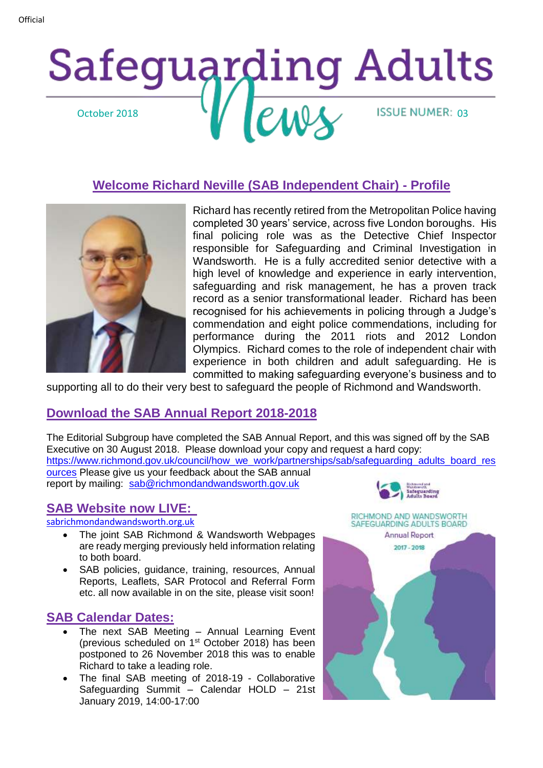## Safeguarding Adults October 2018 V PMU ISSUE NUMER: 03

## **Welcome Richard Neville (SAB Independent Chair) - Profile**



Richard has recently retired from the Metropolitan Police having completed 30 years' service, across five London boroughs. His final policing role was as the Detective Chief Inspector responsible for Safeguarding and Criminal Investigation in Wandsworth. He is a fully accredited senior detective with a high level of knowledge and experience in early intervention, safeguarding and risk management, he has a proven track record as a senior transformational leader. Richard has been recognised for his achievements in policing through a Judge's commendation and eight police commendations, including for performance during the 2011 riots and 2012 London Olympics. Richard comes to the role of independent chair with experience in both children and adult safeguarding. He is committed to making safeguarding everyone's business and to

supporting all to do their very best to safeguard the people of Richmond and Wandsworth.

#### **Download the SAB Annual Report 2018-2018**

The Editorial Subgroup have completed the SAB Annual Report, and this was signed off by the SAB Executive on 30 August 2018. Please download your copy and request a hard copy: [https://www.richmond.gov.uk/council/how\\_we\\_work/partnerships/sab/safeguarding\\_adults\\_board\\_res](https://www.richmond.gov.uk/council/how_we_work/partnerships/sab/safeguarding_adults_board_resources) [ources](https://www.richmond.gov.uk/council/how_we_work/partnerships/sab/safeguarding_adults_board_resources) Please give us your feedback about the SAB annual report by mailing: [sab@richmondandwandsworth.gov.uk](mailto:sab@richmondandwandsworth.gov.uk)

## **SAB Website now LIVE:**

[sabrichmondandwandsworth.org.uk](http://sabrichmondandwandsworth.org.uk/)

- The joint SAB Richmond & Wandsworth Webpages are ready merging previously held information relating to both board.
- SAB policies, guidance, training, resources, Annual Reports, Leaflets, SAR Protocol and Referral Form etc. all now available in on the site, please visit soon!

## **SAB Calendar Dates:**

- The next SAB Meeting Annual Learning Event (previous scheduled on 1st October 2018) has been postponed to 26 November 2018 this was to enable Richard to take a leading role.
- The final SAB meeting of 2018-19 Collaborative Safeguarding Summit – Calendar HOLD – 21st January 2019, 14:00-17:00